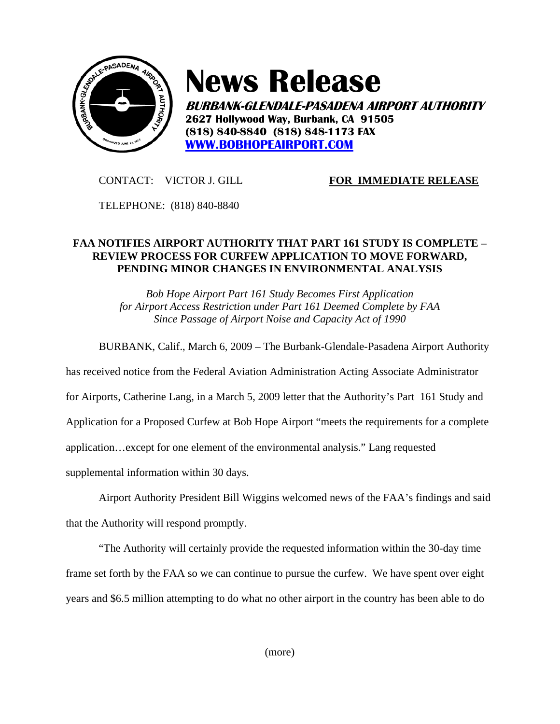

## **News Release**

**BURBANK-GLENDALE-PASADENA AIRPORT AUTHORITY 2627 Hollywood Way, Burbank, CA 91505 (818) 840-8840 (818) 848-1173 FAX WWW.BOBHOPEAIRPORT.COM**

CONTACT: VICTOR J. GILL **FOR IMMEDIATE RELEASE**

TELEPHONE: (818) 840-8840

## **FAA NOTIFIES AIRPORT AUTHORITY THAT PART 161 STUDY IS COMPLETE – REVIEW PROCESS FOR CURFEW APPLICATION TO MOVE FORWARD, PENDING MINOR CHANGES IN ENVIRONMENTAL ANALYSIS**

*Bob Hope Airport Part 161 Study Becomes First Application for Airport Access Restriction under Part 161 Deemed Complete by FAA Since Passage of Airport Noise and Capacity Act of 1990* 

BURBANK, Calif., March 6, 2009 – The Burbank-Glendale-Pasadena Airport Authority

has received notice from the Federal Aviation Administration Acting Associate Administrator

for Airports, Catherine Lang, in a March 5, 2009 letter that the Authority's Part 161 Study and

Application for a Proposed Curfew at Bob Hope Airport "meets the requirements for a complete

application…except for one element of the environmental analysis." Lang requested

supplemental information within 30 days.

Airport Authority President Bill Wiggins welcomed news of the FAA's findings and said that the Authority will respond promptly.

"The Authority will certainly provide the requested information within the 30-day time frame set forth by the FAA so we can continue to pursue the curfew. We have spent over eight years and \$6.5 million attempting to do what no other airport in the country has been able to do